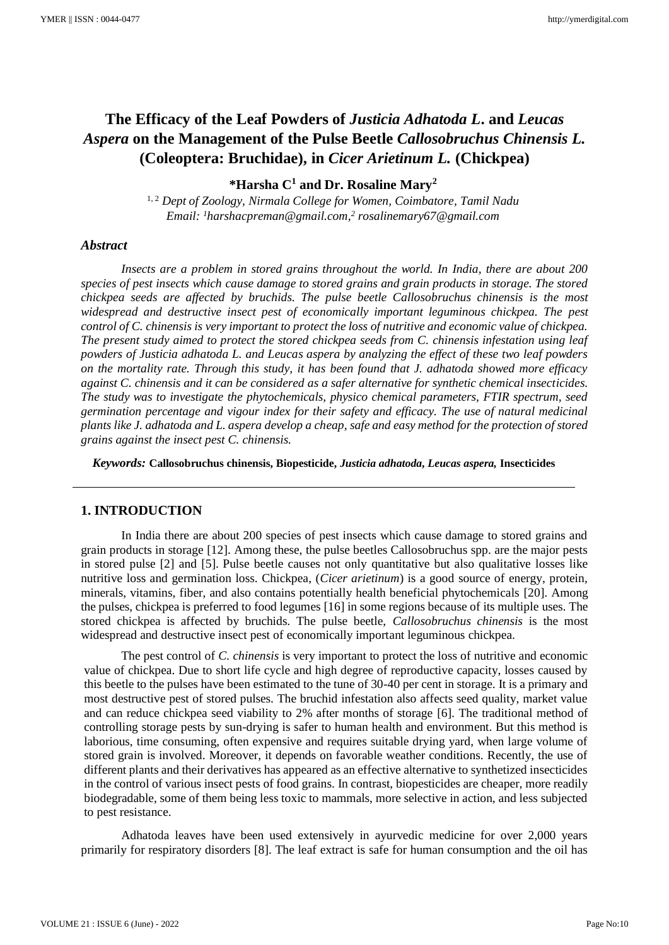# **The Efficacy of the Leaf Powders of** *Justicia Adhatoda L***. and** *Leucas Aspera* **on the Management of the Pulse Beetle** *Callosobruchus Chinensis L.* **(Coleoptera: Bruchidae), in** *Cicer Arietinum L.* **(Chickpea)**

**\*Harsha C<sup>1</sup> and Dr. Rosaline Mary<sup>2</sup>**

1, 2 *Dept of Zoology, Nirmala College for Women, Coimbatore, Tamil Nadu Email: <sup>1</sup>harshacpreman@gmail.com, 2 rosalinemary67@gmail.com*

#### *Abstract*

*Insects are a problem in stored grains throughout the world. In India, there are about 200 species of pest insects which cause damage to stored grains and grain products in storage. The stored chickpea seeds are affected by bruchids. The pulse beetle Callosobruchus chinensis is the most widespread and destructive insect pest of economically important leguminous chickpea. The pest control of C. chinensis is very important to protect the loss of nutritive and economic value of chickpea. The present study aimed to protect the stored chickpea seeds from C. chinensis infestation using leaf powders of Justicia adhatoda L. and Leucas aspera by analyzing the effect of these two leaf powders on the mortality rate. Through this study, it has been found that J. adhatoda showed more efficacy against C. chinensis and it can be considered as a safer alternative for synthetic chemical insecticides. The study was to investigate the phytochemicals, physico chemical parameters, FTIR spectrum, seed germination percentage and vigour index for their safety and efficacy. The use of natural medicinal plants like J. adhatoda and L. aspera develop a cheap, safe and easy method for the protection of stored grains against the insect pest C. chinensis.*

*Keywords:* **Callosobruchus chinensis, Biopesticide,** *Justicia adhatoda***,** *Leucas aspera,* **Insecticides**

#### **1. INTRODUCTION**

In India there are about 200 species of pest insects which cause damage to stored grains and grain products in storage [12]. Among these, the pulse beetles Callosobruchus spp. are the major pests in stored pulse [2] and [5]. Pulse beetle causes not only quantitative but also qualitative losses like nutritive loss and germination loss. Chickpea, (*Cicer arietinum*) is a good source of energy, protein, minerals, vitamins, fiber, and also contains potentially health beneficial phytochemicals [20]. Among the pulses, chickpea is preferred to food legumes [16] in some regions because of its multiple uses. The stored chickpea is affected by bruchids. The pulse beetle, *Callosobruchus chinensis* is the most widespread and destructive insect pest of economically important leguminous chickpea.

The pest control of *C. chinensis* is very important to protect the loss of nutritive and economic value of chickpea. Due to short life cycle and high degree of reproductive capacity, losses caused by this beetle to the pulses have been estimated to the tune of 30-40 per cent in storage. It is a primary and most destructive pest of stored pulses. The bruchid infestation also affects seed quality, market value and can reduce chickpea seed viability to 2% after months of storage [6]. The traditional method of controlling storage pests by sun-drying is safer to human health and environment. But this method is laborious, time consuming, often expensive and requires suitable drying yard, when large volume of stored grain is involved. Moreover, it depends on favorable weather conditions. Recently, the use of different plants and their derivatives has appeared as an effective alternative to synthetized insecticides in the control of various insect pests of food grains. In contrast, biopesticides are cheaper, more readily biodegradable, some of them being less toxic to mammals, more selective in action, and less subjected to pest resistance.

Adhatoda leaves have been used extensively in ayurvedic medicine for over 2,000 years primarily for respiratory disorders [8]. The leaf extract is safe for human consumption and the oil has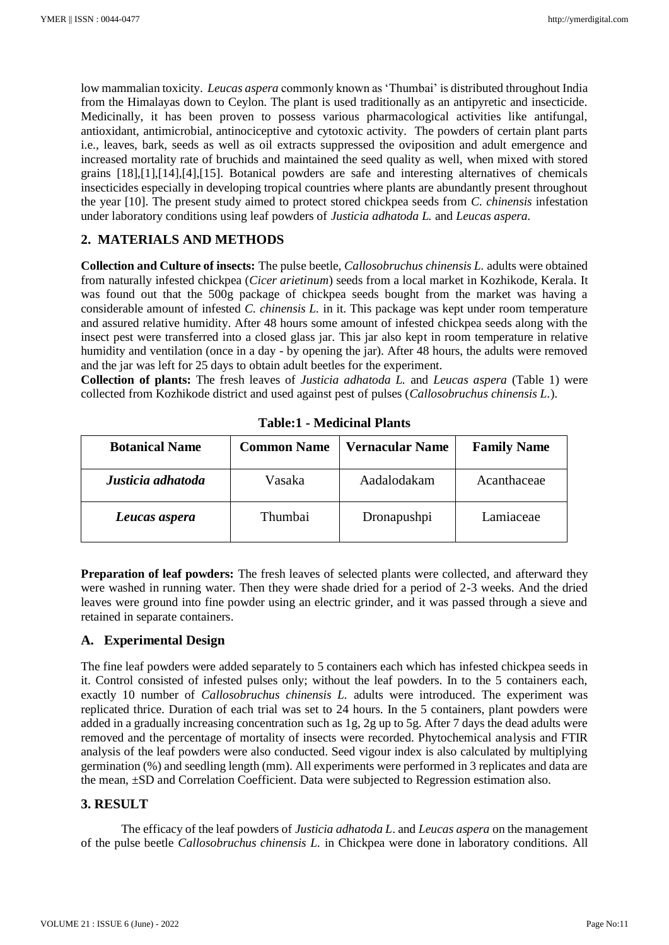low mammalian toxicity. *Leucas aspera* commonly known as 'Thumbai' is distributed throughout India from the Himalayas down to Ceylon. The plant is used traditionally as an antipyretic and insecticide. Medicinally, it has been proven to possess various pharmacological activities like antifungal, antioxidant, antimicrobial, antinociceptive and cytotoxic activity. The powders of certain plant parts i.e., leaves, bark, seeds as well as oil extracts suppressed the oviposition and adult emergence and increased mortality rate of bruchids and maintained the seed quality as well, when mixed with stored grains [18],[1],[14],[4],[15]. Botanical powders are safe and interesting alternatives of chemicals insecticides especially in developing tropical countries where plants are abundantly present throughout the year [10]. The present study aimed to protect stored chickpea seeds from *C. chinensis* infestation under laboratory conditions using leaf powders of *Justicia adhatoda L.* and *Leucas aspera.* 

## **2. MATERIALS AND METHODS**

**Collection and Culture of insects:** The pulse beetle, *Callosobruchus chinensis L.* adults were obtained from naturally infested chickpea (*Cicer arietinum*) seeds from a local market in Kozhikode, Kerala. It was found out that the 500g package of chickpea seeds bought from the market was having a considerable amount of infested *C. chinensis L.* in it. This package was kept under room temperature and assured relative humidity. After 48 hours some amount of infested chickpea seeds along with the insect pest were transferred into a closed glass jar. This jar also kept in room temperature in relative humidity and ventilation (once in a day - by opening the jar). After 48 hours, the adults were removed and the jar was left for 25 days to obtain adult beetles for the experiment.

**Collection of plants:** The fresh leaves of *Justicia adhatoda L.* and *Leucas aspera* (Table 1) were collected from Kozhikode district and used against pest of pulses (*Callosobruchus chinensis L.*).

| <b>Botanical Name</b> | <b>Common Name</b> | <b>Vernacular Name</b> | <b>Family Name</b> |
|-----------------------|--------------------|------------------------|--------------------|
| Justicia adhatoda     | Vasaka             | Aadalodakam            | Acanthaceae        |
| Leucas aspera         | Thumbai            | Dronapushpi            | Lamiaceae          |

**Table:1 - Medicinal Plants**

Preparation of leaf powders: The fresh leaves of selected plants were collected, and afterward they were washed in running water. Then they were shade dried for a period of 2-3 weeks. And the dried leaves were ground into fine powder using an electric grinder, and it was passed through a sieve and retained in separate containers.

### **A. Experimental Design**

The fine leaf powders were added separately to 5 containers each which has infested chickpea seeds in it. Control consisted of infested pulses only; without the leaf powders. In to the 5 containers each, exactly 10 number of *Callosobruchus chinensis L.* adults were introduced. The experiment was replicated thrice. Duration of each trial was set to 24 hours. In the 5 containers, plant powders were added in a gradually increasing concentration such as 1g, 2g up to 5g. After 7 days the dead adults were removed and the percentage of mortality of insects were recorded. Phytochemical analysis and FTIR analysis of the leaf powders were also conducted. Seed vigour index is also calculated by multiplying germination (%) and seedling length (mm). All experiments were performed in 3 replicates and data are the mean, ±SD and Correlation Coefficient. Data were subjected to Regression estimation also.

### **3. RESULT**

The efficacy of the leaf powders of *Justicia adhatoda L*. and *Leucas aspera* on the management of the pulse beetle *Callosobruchus chinensis L.* in Chickpea were done in laboratory conditions. All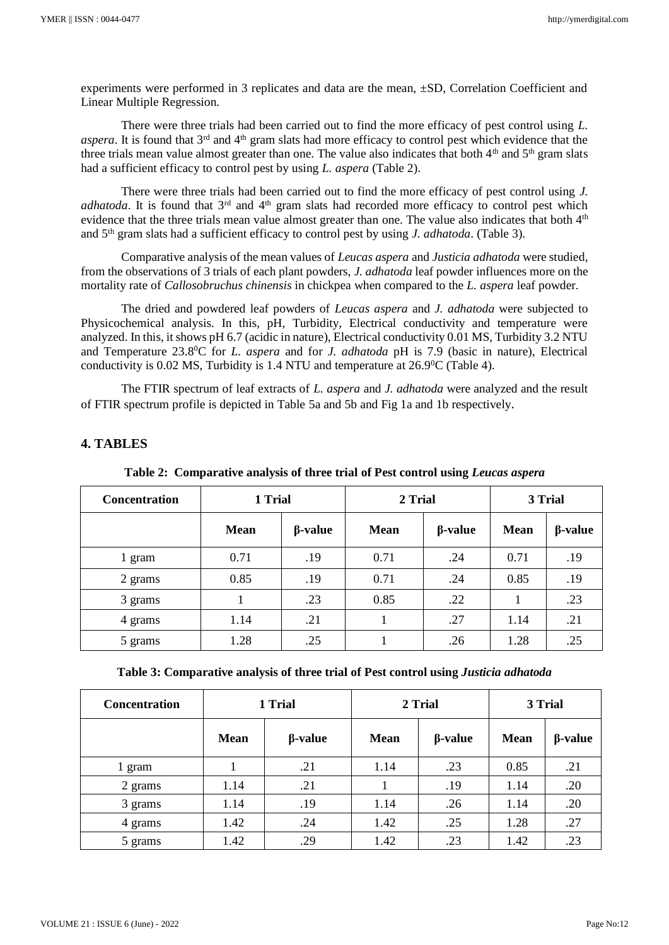experiments were performed in 3 replicates and data are the mean, ±SD, Correlation Coefficient and Linear Multiple Regression.

There were three trials had been carried out to find the more efficacy of pest control using *L.*  aspera. It is found that 3<sup>rd</sup> and 4<sup>th</sup> gram slats had more efficacy to control pest which evidence that the three trials mean value almost greater than one. The value also indicates that both  $4<sup>th</sup>$  and  $5<sup>th</sup>$  gram slats had a sufficient efficacy to control pest by using *L. aspera* (Table 2).

There were three trials had been carried out to find the more efficacy of pest control using *J. adhatoda*. It is found that 3<sup>rd</sup> and 4<sup>th</sup> gram slats had recorded more efficacy to control pest which evidence that the three trials mean value almost greater than one. The value also indicates that both 4<sup>th</sup> and 5th gram slats had a sufficient efficacy to control pest by using *J. adhatoda*. (Table 3).

Comparative analysis of the mean values of *Leucas aspera* and *Justicia adhatoda* were studied, from the observations of 3 trials of each plant powders, *J. adhatoda* leaf powder influences more on the mortality rate of *Callosobruchus chinensis* in chickpea when compared to the *L. aspera* leaf powder.

The dried and powdered leaf powders of *Leucas aspera* and *J. adhatoda* were subjected to Physicochemical analysis. In this, pH, Turbidity, Electrical conductivity and temperature were analyzed. In this, it shows pH 6.7 (acidic in nature), Electrical conductivity 0.01 MS, Turbidity 3.2 NTU and Temperature 23.8<sup>0</sup>C for *L. aspera* and for *J. adhatoda* pH is 7.9 (basic in nature), Electrical conductivity is 0.02 MS, Turbidity is 1.4 NTU and temperature at 26.9<sup>0</sup>C (Table 4).

The FTIR spectrum of leaf extracts of *L. aspera* and *J. adhatoda* were analyzed and the result of FTIR spectrum profile is depicted in Table 5a and 5b and Fig 1a and 1b respectively.

## **4. TABLES**

| <b>Concentration</b> | 1 Trial     |                | 2 Trial     |                | 3 Trial     |                |
|----------------------|-------------|----------------|-------------|----------------|-------------|----------------|
|                      | <b>Mean</b> | $\beta$ -value | <b>Mean</b> | $\beta$ -value | <b>Mean</b> | $\beta$ -value |
| 1 gram               | 0.71        | .19            | 0.71        | .24            | 0.71        | .19            |
| 2 grams              | 0.85        | .19            | 0.71        | .24            | 0.85        | .19            |
| 3 grams              |             | .23            | 0.85        | .22            |             | .23            |
| 4 grams              | 1.14        | .21            |             | .27            | 1.14        | .21            |
| 5 grams              | 1.28        | .25            |             | .26            | 1.28        | .25            |

**Table 2: Comparative analysis of three trial of Pest control using** *Leucas aspera*

| Table 3: Comparative analysis of three trial of Pest control using <i>Justicia adhatoda</i> |  |  |  |  |
|---------------------------------------------------------------------------------------------|--|--|--|--|
|                                                                                             |  |  |  |  |

| <b>Concentration</b> | 1 Trial     |                | 2 Trial     |                | 3 Trial     |                |
|----------------------|-------------|----------------|-------------|----------------|-------------|----------------|
|                      | <b>Mean</b> | $\beta$ -value | <b>Mean</b> | $\beta$ -value | <b>Mean</b> | $\beta$ -value |
| 1 gram               |             | .21            | 1.14        | .23            | 0.85        | .21            |
| 2 grams              | 1.14        | .21            |             | .19            | 1.14        | .20            |
| 3 grams              | 1.14        | .19            | 1.14        | .26            | 1.14        | .20            |
| 4 grams              | 1.42        | .24            | 1.42        | .25            | 1.28        | .27            |
| 5 grams              | 1.42        | .29            | 1.42        | .23            | 1.42        | .23            |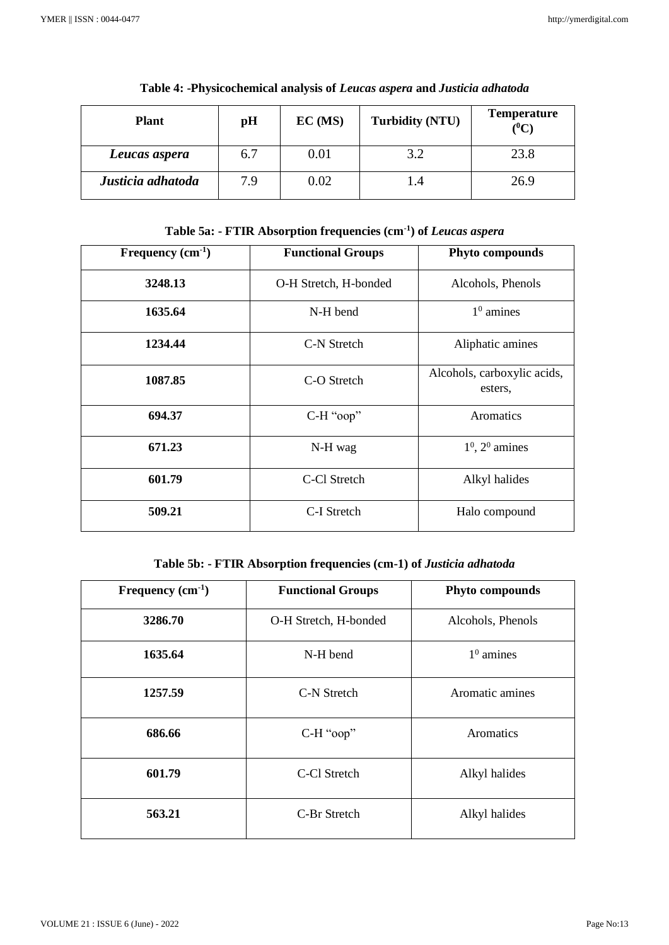| <b>Plant</b>      | pH  | EC(MS) | <b>Turbidity (NTU)</b> | <b>Temperature</b><br>$(^0C)$ |
|-------------------|-----|--------|------------------------|-------------------------------|
| Leucas aspera     | 6.7 | 0.01   | 3.2                    | 23.8                          |
| Justicia adhatoda | 7.9 | 0.02   | 1.4                    | 26.9                          |

**Table 4: -Physicochemical analysis of** *Leucas aspera* **and** *Justicia adhatoda*

**Table 5a: - FTIR Absorption frequencies (cm-1 ) of** *Leucas aspera*

| Frequency $(cm-1)$ | <b>Functional Groups</b> | Phyto compounds                        |
|--------------------|--------------------------|----------------------------------------|
| 3248.13            | O-H Stretch, H-bonded    | Alcohols, Phenols                      |
| 1635.64            | N-H bend                 | $10$ amines                            |
| 1234.44            | C-N Stretch              | Aliphatic amines                       |
| 1087.85            | C-O Stretch              | Alcohols, carboxylic acids,<br>esters, |
| 694.37             | C-H "oop"                | Aromatics                              |
| 671.23             | N-H wag                  | $10$ , $20$ amines                     |
| 601.79             | C-Cl Stretch             | Alkyl halides                          |
| 509.21             | C-I Stretch              | Halo compound                          |

**Table 5b: - FTIR Absorption frequencies (cm-1) of** *Justicia adhatoda*

| Frequency $(cm-1)$ | <b>Functional Groups</b> | Phyto compounds   |
|--------------------|--------------------------|-------------------|
| 3286.70            | O-H Stretch, H-bonded    | Alcohols, Phenols |
| 1635.64            | N-H bend                 | $10$ amines       |
| 1257.59            | C-N Stretch              | Aromatic amines   |
| 686.66             | C-H "oop"                | Aromatics         |
| 601.79             | C-Cl Stretch             | Alkyl halides     |
| 563.21             | C-Br Stretch             | Alkyl halides     |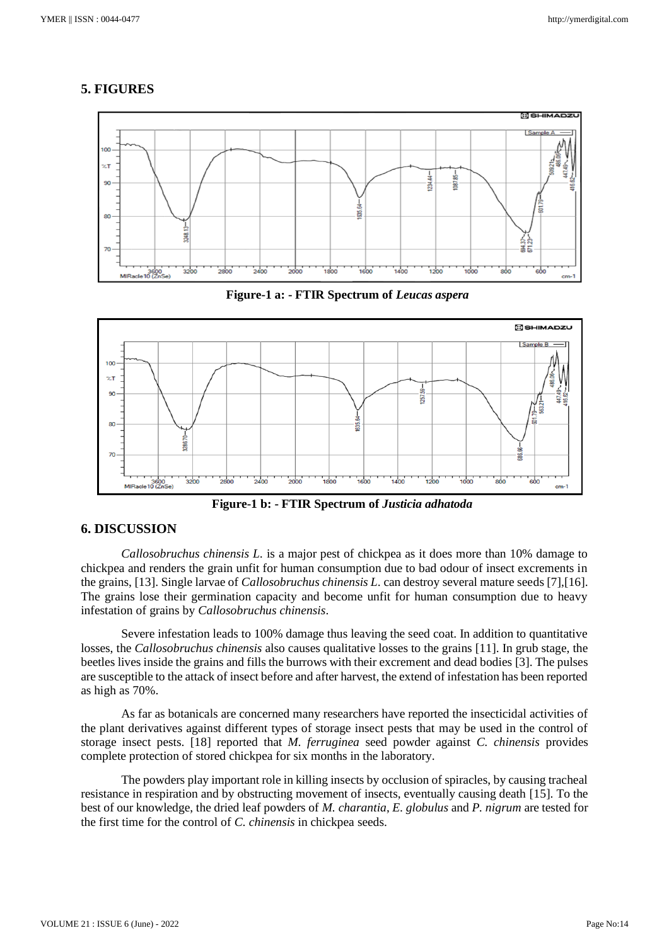## **5. FIGURES**



**Figure-1 a: - FTIR Spectrum of** *Leucas aspera*



 **Figure-1 b: - FTIR Spectrum of** *Justicia adhatoda*

## **6. DISCUSSION**

*Callosobruchus chinensis L.* is a major pest of chickpea as it does more than 10% damage to chickpea and renders the grain unfit for human consumption due to bad odour of insect excrements in the grains, [13]. Single larvae of *Callosobruchus chinensis L.* can destroy several mature seeds [7],[16]. The grains lose their germination capacity and become unfit for human consumption due to heavy infestation of grains by *Callosobruchus chinensis*.

Severe infestation leads to 100% damage thus leaving the seed coat. In addition to quantitative losses, the *Callosobruchus chinensis* also causes qualitative losses to the grains [11]. In grub stage, the beetles lives inside the grains and fills the burrows with their excrement and dead bodies [3]. The pulses are susceptible to the attack of insect before and after harvest, the extend of infestation has been reported as high as 70%.

As far as botanicals are concerned many researchers have reported the insecticidal activities of the plant derivatives against different types of storage insect pests that may be used in the control of storage insect pests. [18] reported that *M. ferruginea* seed powder against *C. chinensis* provides complete protection of stored chickpea for six months in the laboratory.

The powders play important role in killing insects by occlusion of spiracles, by causing tracheal resistance in respiration and by obstructing movement of insects, eventually causing death [15]. To the best of our knowledge, the dried leaf powders of *M. charantia*, *E. globulus* and *P. nigrum* are tested for the first time for the control of *C. chinensis* in chickpea seeds.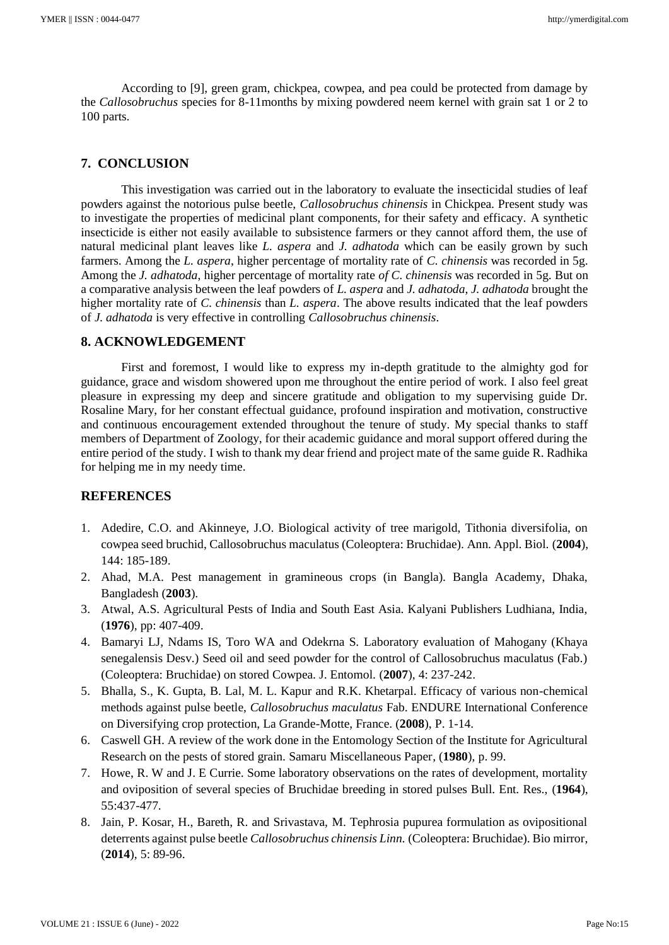According to [9], green gram, chickpea, cowpea, and pea could be protected from damage by the *Callosobruchus* species for 8-11months by mixing powdered neem kernel with grain sat 1 or 2 to 100 parts.

## **7. CONCLUSION**

This investigation was carried out in the laboratory to evaluate the insecticidal studies of leaf powders against the notorious pulse beetle, *Callosobruchus chinensis* in Chickpea. Present study was to investigate the properties of medicinal plant components, for their safety and efficacy. A synthetic insecticide is either not easily available to subsistence farmers or they cannot afford them, the use of natural medicinal plant leaves like *L. aspera* and *J. adhatoda* which can be easily grown by such farmers. Among the *L. aspera*, higher percentage of mortality rate of *C. chinensis* was recorded in 5g. Among the *J. adhatoda*, higher percentage of mortality rate *of C. chinensis* was recorded in 5g. But on a comparative analysis between the leaf powders of *L. aspera* and *J. adhatoda*, *J. adhatoda* brought the higher mortality rate of *C. chinensis* than *L. aspera*. The above results indicated that the leaf powders of *J. adhatoda* is very effective in controlling *Callosobruchus chinensis*.

## **8. ACKNOWLEDGEMENT**

First and foremost, I would like to express my in-depth gratitude to the almighty god for guidance, grace and wisdom showered upon me throughout the entire period of work. I also feel great pleasure in expressing my deep and sincere gratitude and obligation to my supervising guide Dr. Rosaline Mary, for her constant effectual guidance, profound inspiration and motivation, constructive and continuous encouragement extended throughout the tenure of study. My special thanks to staff members of Department of Zoology, for their academic guidance and moral support offered during the entire period of the study. I wish to thank my dear friend and project mate of the same guide R. Radhika for helping me in my needy time.

### **REFERENCES**

- 1. Adedire, C.O. and Akinneye, J.O. Biological activity of tree marigold, Tithonia diversifolia, on cowpea seed bruchid, Callosobruchus maculatus (Coleoptera: Bruchidae). Ann. Appl. Biol. (**2004**), 144: 185-189.
- 2. Ahad, M.A. Pest management in gramineous crops (in Bangla). Bangla Academy, Dhaka, Bangladesh (**2003**).
- 3. Atwal, A.S. Agricultural Pests of India and South East Asia. Kalyani Publishers Ludhiana, India, (**1976**), pp: 407-409.
- 4. Bamaryi LJ, Ndams IS, Toro WA and Odekrna S. Laboratory evaluation of Mahogany (Khaya senegalensis Desv.) Seed oil and seed powder for the control of Callosobruchus maculatus (Fab.) (Coleoptera: Bruchidae) on stored Cowpea. J. Entomol. (**2007**), 4: 237-242.
- 5. Bhalla, S., K. Gupta, B. Lal, M. L. Kapur and R.K. Khetarpal. Efficacy of various non-chemical methods against pulse beetle, *Callosobruchus maculatus* Fab. ENDURE International Conference on Diversifying crop protection, La Grande-Motte, France. (**2008**), P. 1-14.
- 6. Caswell GH. A review of the work done in the Entomology Section of the Institute for Agricultural Research on the pests of stored grain. Samaru Miscellaneous Paper, (**1980**), p. 99.
- 7. Howe, R. W and J. E Currie. Some laboratory observations on the rates of development, mortality and oviposition of several species of Bruchidae breeding in stored pulses Bull. Ent. Res., (**1964**), 55:437-477.
- 8. Jain, P. Kosar, H., Bareth, R. and Srivastava, M. Tephrosia pupurea formulation as ovipositional deterrents against pulse beetle *Callosobruchus chinensis Linn.* (Coleoptera: Bruchidae). Bio mirror, (**2014**), 5: 89-96.